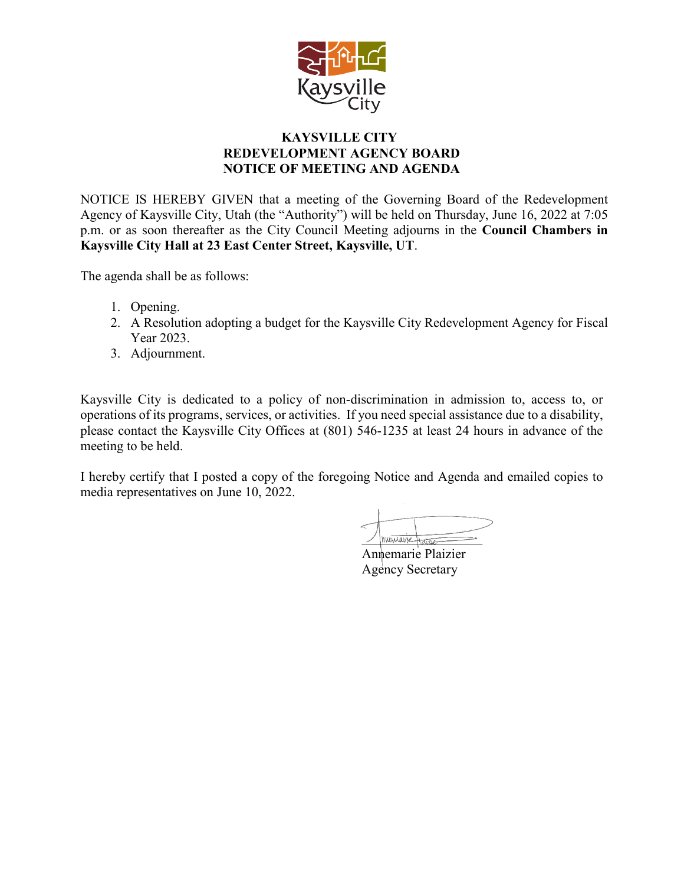

## **KAYSVILLE CITY REDEVELOPMENT AGENCY BOARD NOTICE OF MEETING AND AGENDA**

NOTICE IS HEREBY GIVEN that a meeting of the Governing Board of the Redevelopment Agency of Kaysville City, Utah (the "Authority") will be held on Thursday, June 16, 2022 at 7:05 p.m. or as soon thereafter as the City Council Meeting adjourns in the **Council Chambers in Kaysville City Hall at 23 East Center Street, Kaysville, UT**.

The agenda shall be as follows:

- 1. Opening.
- 2. A Resolution adopting a budget for the Kaysville City Redevelopment Agency for Fiscal Year 2023.
- 3. Adjournment.

Kaysville City is dedicated to a policy of non-discrimination in admission to, access to, or operations of its programs, services, or activities. If you need special assistance due to a disability, please contact the Kaysville City Offices at (801) 546-1235 at least 24 hours in advance of the meeting to be held.

I hereby certify that I posted a copy of the foregoing Notice and Agenda and emailed copies to media representatives on June 10, 2022.

Innemarie Harger

Annemarie Plaizier Agency Secretary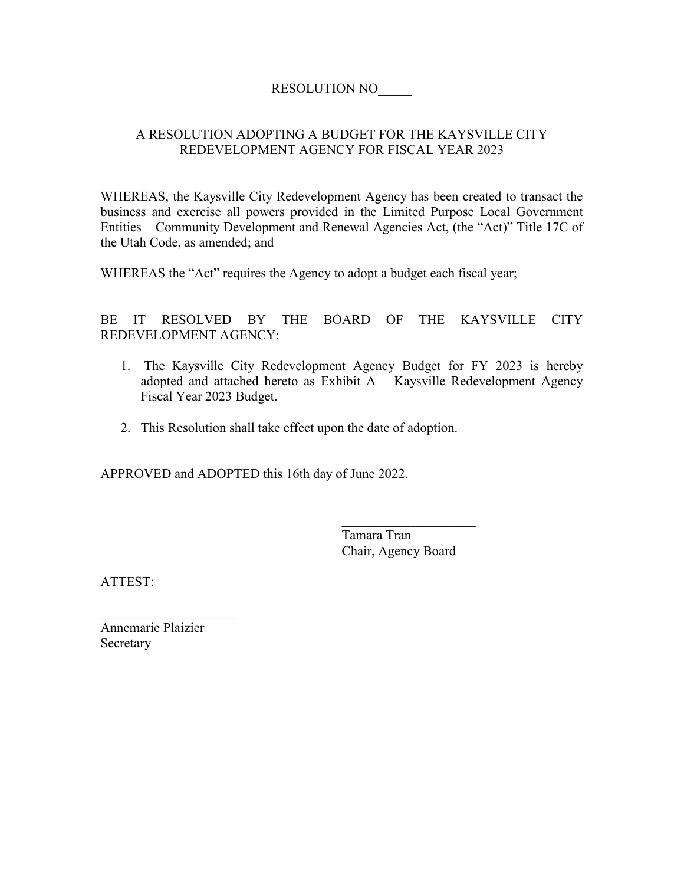## RESOLUTION NO\_\_\_\_\_

## A RESOLUTION ADOPTING A BUDGET FOR THE KAYSVILLE CITY REDEVELOPMENT AGENCY FOR FISCAL YEAR 2023

WHEREAS, the Kaysville City Redevelopment Agency has been created to transact the business and exercise all powers provided in the Limited Purpose Local Government Entities – Community Development and Renewal Agencies Act, (the "Act)" Title 17C of the Utah Code, as amended; and

WHEREAS the "Act" requires the Agency to adopt a budget each fiscal year;

BE IT RESOLVED BY THE BOARD OF THE KAYSVILLE CITY REDEVELOPMENT AGENCY:

- 1. The Kaysville City Redevelopment Agency Budget for FY 2023 is hereby adopted and attached hereto as Exhibit A – Kaysville Redevelopment Agency Fiscal Year 2023 Budget.
- 2. This Resolution shall take effect upon the date of adoption.

APPROVED and ADOPTED this 16th day of June 2022.

Tamara Tran Chair, Agency Board

ATTEST:

Annemarie Plaizier Secretary

 $\overline{\phantom{a}}$  , which is a set of the set of the set of the set of the set of the set of the set of the set of the set of the set of the set of the set of the set of the set of the set of the set of the set of the set of th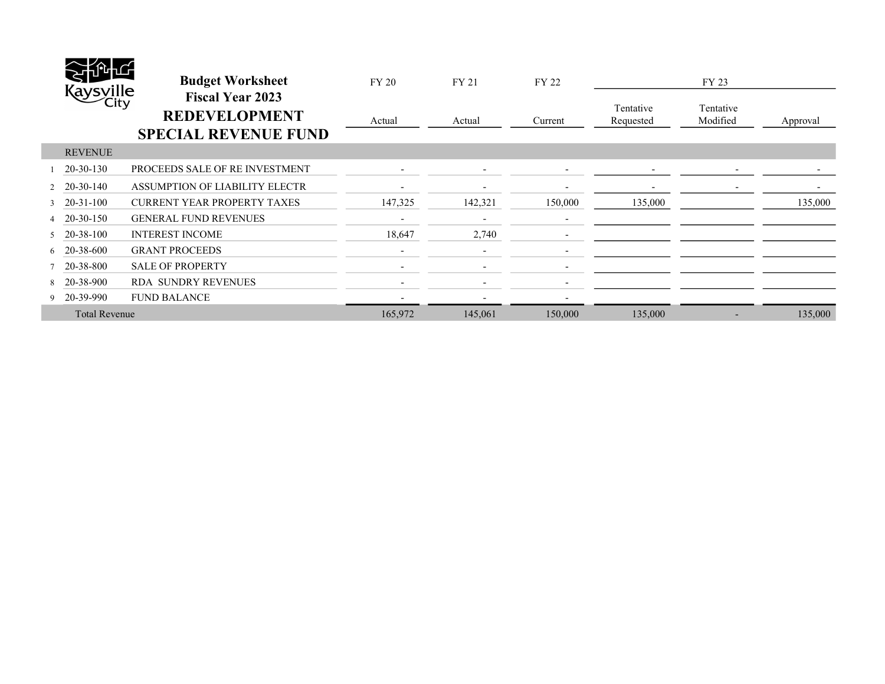|                      | uno<br>Kaysville<br>City | <b>Budget Worksheet</b><br><b>Fiscal Year 2023</b><br><b>REDEVELOPMENT</b><br><b>SPECIAL REVENUE FUND</b> | <b>FY 20</b><br>Actual | FY 21<br>Actual          | FY 22<br>Current         | Tentative<br>Requested   | FY 23<br>Tentative<br>Modified | Approval |
|----------------------|--------------------------|-----------------------------------------------------------------------------------------------------------|------------------------|--------------------------|--------------------------|--------------------------|--------------------------------|----------|
|                      | <b>REVENUE</b>           |                                                                                                           |                        |                          |                          |                          |                                |          |
|                      | 20-30-130                | PROCEEDS SALE OF RE INVESTMENT                                                                            |                        |                          |                          | $\overline{\phantom{a}}$ | $\overline{\phantom{a}}$       |          |
|                      | 20-30-140                | ASSUMPTION OF LIABILITY ELECTR                                                                            |                        | ٠                        |                          |                          | $\overline{\phantom{a}}$       |          |
| $\mathcal{L}$        | 20-31-100                | <b>CURRENT YEAR PROPERTY TAXES</b>                                                                        | 147,325                | 142,321                  | 150,000                  | 135,000                  |                                | 135,000  |
|                      | 20-30-150                | <b>GENERAL FUND REVENUES</b>                                                                              |                        | $\overline{\phantom{a}}$ |                          |                          |                                |          |
|                      | 20-38-100                | <b>INTEREST INCOME</b>                                                                                    | 18,647                 | 2,740                    |                          |                          |                                |          |
| 6                    | 20-38-600                | <b>GRANT PROCEEDS</b>                                                                                     |                        |                          |                          |                          |                                |          |
|                      | 20-38-800                | <b>SALE OF PROPERTY</b>                                                                                   |                        |                          | $\overline{\phantom{a}}$ |                          |                                |          |
|                      | 20-38-900                | <b>RDA SUNDRY REVENUES</b>                                                                                |                        |                          |                          |                          |                                |          |
|                      | 9 20-39-990              | <b>FUND BALANCE</b>                                                                                       |                        |                          |                          |                          |                                |          |
| <b>Total Revenue</b> |                          |                                                                                                           | 165,972                | 145,061                  | 150,000                  | 135,000                  |                                | 135,000  |